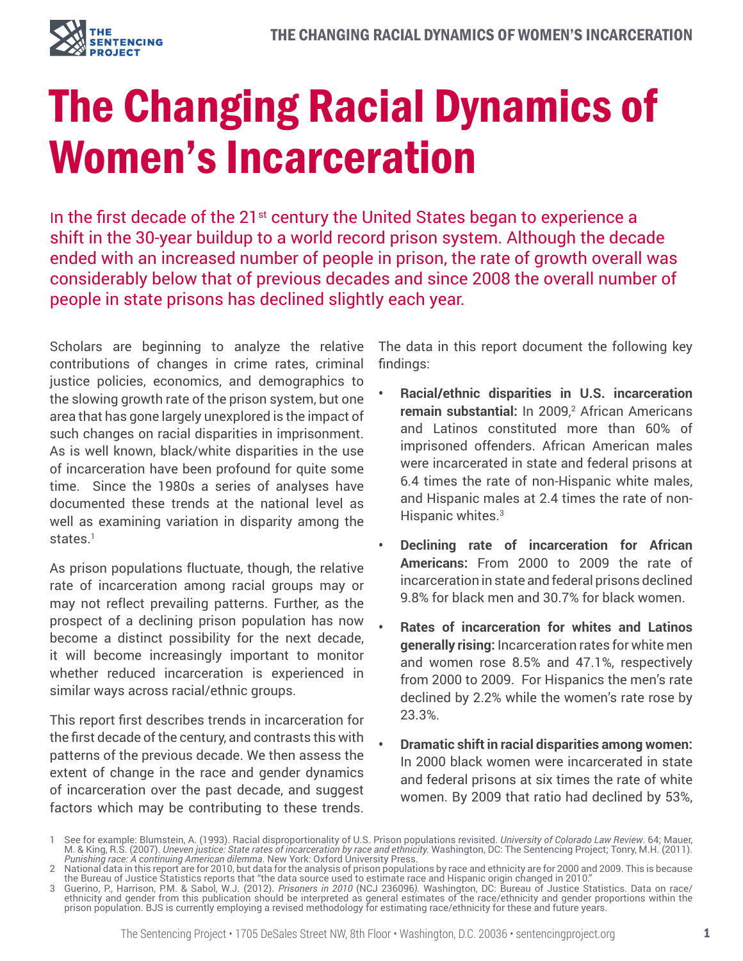

# The Changing Racial Dynamics of Women's Incarceration

In the first decade of the  $21^{st}$  century the United States began to experience a shift in the 30-year buildup to a world record prison system. Although the decade ended with an increased number of people in prison, the rate of growth overall was considerably below that of previous decades and since 2008 the overall number of people in state prisons has declined slightly each year.

Scholars are beginning to analyze the relative contributions of changes in crime rates, criminal justice policies, economics, and demographics to the slowing growth rate of the prison system, but one area that has gone largely unexplored is the impact of such changes on racial disparities in imprisonment. As is well known, black/white disparities in the use of incarceration have been profound for quite some time. Since the 1980s a series of analyses have documented these trends at the national level as well as examining variation in disparity among the states.<sup>1</sup>

As prison populations fluctuate, though, the relative rate of incarceration among racial groups may or may not reflect prevailing patterns. Further, as the prospect of a declining prison population has now become a distinct possibility for the next decade, it will become increasingly important to monitor whether reduced incarceration is experienced in similar ways across racial/ethnic groups.

This report first describes trends in incarceration for the first decade of the century, and contrasts this with patterns of the previous decade. We then assess the extent of change in the race and gender dynamics of incarceration over the past decade, and suggest factors which may be contributing to these trends.

The data in this report document the following key findings:

- **• Racial/ethnic disparities in U.S. incarceration**  remain substantial: In 2009,<sup>2</sup> African Americans and Latinos constituted more than 60% of imprisoned offenders. African American males were incarcerated in state and federal prisons at 6.4 times the rate of non-Hispanic white males, and Hispanic males at 2.4 times the rate of non-Hispanic whites.3
- **• Declining rate of incarceration for African Americans:** From 2000 to 2009 the rate of incarceration in state and federal prisons declined 9.8% for black men and 30.7% for black women.
- **• Rates of incarceration for whites and Latinos generally rising:** Incarceration rates for white men and women rose 8.5% and 47.1%, respectively from 2000 to 2009. For Hispanics the men's rate declined by 2.2% while the women's rate rose by 23.3%.
- **• Dramatic shift in racial disparities among women:**  In 2000 black women were incarcerated in state and federal prisons at six times the rate of white women. By 2009 that ratio had declined by 53%,

<sup>1</sup> See for example: Blumstein, A. (1993). Racial disproportionality of U.S. Prison populations revisited. *University of Colorado Law Review*. 64; Mauer, M. & King, R.S. (2007). *Uneven justice: State rates of incarceration by race and ethnicity.* Washington, DC: The Sentencing Project; Tonry, M.H. (2011). *Punishing race: A continuing American dilemma*. New York: Oxford University Press.

<sup>2</sup> National data in this report are for 2010, but data for the analysis of prison populations by race and ethnicity are for 2000 and 2009. This is because the Bureau of Justice Statistics reports that "the data source used to estimate race and Hispanic origin changed in 2010."

<sup>3</sup> Guerino, P., Harrison, P.M. & Sabol, W.J. (2012). *Prisoners in 2010* (NCJ 236096*).* Washington, DC: Bureau of Justice Statistics. Data on race/ ethnicity and gender from this publication should be interpreted as general estimates of the race/ethnicity and gender proportions within the prison population. BJS is currently employing a revised methodology for estimating race/ethnicity for these and future years.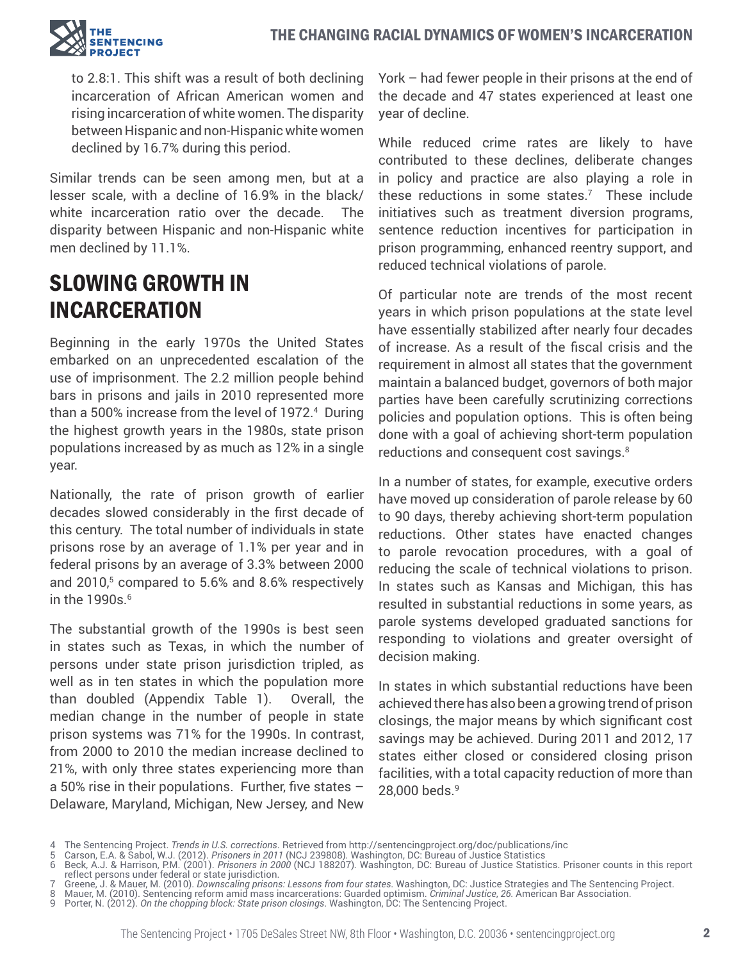

to 2.8:1. This shift was a result of both declining incarceration of African American women and rising incarceration of white women. The disparity between Hispanic and non-Hispanic white women declined by 16.7% during this period.

Similar trends can be seen among men, but at a lesser scale, with a decline of 16.9% in the black/ white incarceration ratio over the decade. The disparity between Hispanic and non-Hispanic white men declined by 11.1%.

## SLOWING GROWTH IN INCARCERATION

Beginning in the early 1970s the United States embarked on an unprecedented escalation of the use of imprisonment. The 2.2 million people behind bars in prisons and jails in 2010 represented more than a 500% increase from the level of 1972.4 During the highest growth years in the 1980s, state prison populations increased by as much as 12% in a single year.

Nationally, the rate of prison growth of earlier decades slowed considerably in the first decade of this century. The total number of individuals in state prisons rose by an average of 1.1% per year and in federal prisons by an average of 3.3% between 2000 and 2010,<sup>5</sup> compared to 5.6% and 8.6% respectively in the  $1990s$ .<sup>6</sup>

The substantial growth of the 1990s is best seen in states such as Texas, in which the number of persons under state prison jurisdiction tripled, as well as in ten states in which the population more than doubled (Appendix Table 1). Overall, the median change in the number of people in state prison systems was 71% for the 1990s. In contrast, from 2000 to 2010 the median increase declined to 21%, with only three states experiencing more than a 50% rise in their populations. Further, five states – Delaware, Maryland, Michigan, New Jersey, and New

York – had fewer people in their prisons at the end of the decade and 47 states experienced at least one year of decline.

While reduced crime rates are likely to have contributed to these declines, deliberate changes in policy and practice are also playing a role in these reductions in some states.7 These include initiatives such as treatment diversion programs, sentence reduction incentives for participation in prison programming, enhanced reentry support, and reduced technical violations of parole.

Of particular note are trends of the most recent years in which prison populations at the state level have essentially stabilized after nearly four decades of increase. As a result of the fiscal crisis and the requirement in almost all states that the government maintain a balanced budget, governors of both major parties have been carefully scrutinizing corrections policies and population options. This is often being done with a goal of achieving short-term population reductions and consequent cost savings.<sup>8</sup>

In a number of states, for example, executive orders have moved up consideration of parole release by 60 to 90 days, thereby achieving short-term population reductions. Other states have enacted changes to parole revocation procedures, with a goal of reducing the scale of technical violations to prison. In states such as Kansas and Michigan, this has resulted in substantial reductions in some years, as parole systems developed graduated sanctions for responding to violations and greater oversight of decision making.

In states in which substantial reductions have been achieved there has also been a growing trend of prison closings, the major means by which significant cost savings may be achieved. During 2011 and 2012, 17 states either closed or considered closing prison facilities, with a total capacity reduction of more than 28,000 beds.<sup>9</sup>

<sup>4</sup> The Sentencing Project. *Trends in U.S. corrections*. Retrieved from http://sentencingproject.org/doc/publications/inc

<sup>5</sup> Carson, E.A. & Sabol, W.J. (2012). *Prisoners in 2011* (NCJ 239808)*.* Washington, DC: Bureau of Justice Statistics

<sup>6</sup> Beck, A.J. & Harrison, P.M. (2001). *Prisoners in 2000* (NCJ 188207)*.* Washington, DC: Bureau of Justice Statistics. Prisoner counts in this report reflect persons under federal or state jurisdiction.

<sup>7</sup> Greene, J. & Mauer, M. (2010). *Downscaling prisons: Lessons from four states*. Washington, DC: Justice Strategies and The Sentencing Project. 8 Mauer, M. (2010). Sentencing reform amid mass incarcerations: Guarded optimism. *Criminal Justice*, *26.* American Bar Association.

<sup>9</sup> Porter, N. (2012). *On the chopping block: State prison closings*. Washington, DC: The Sentencing Project.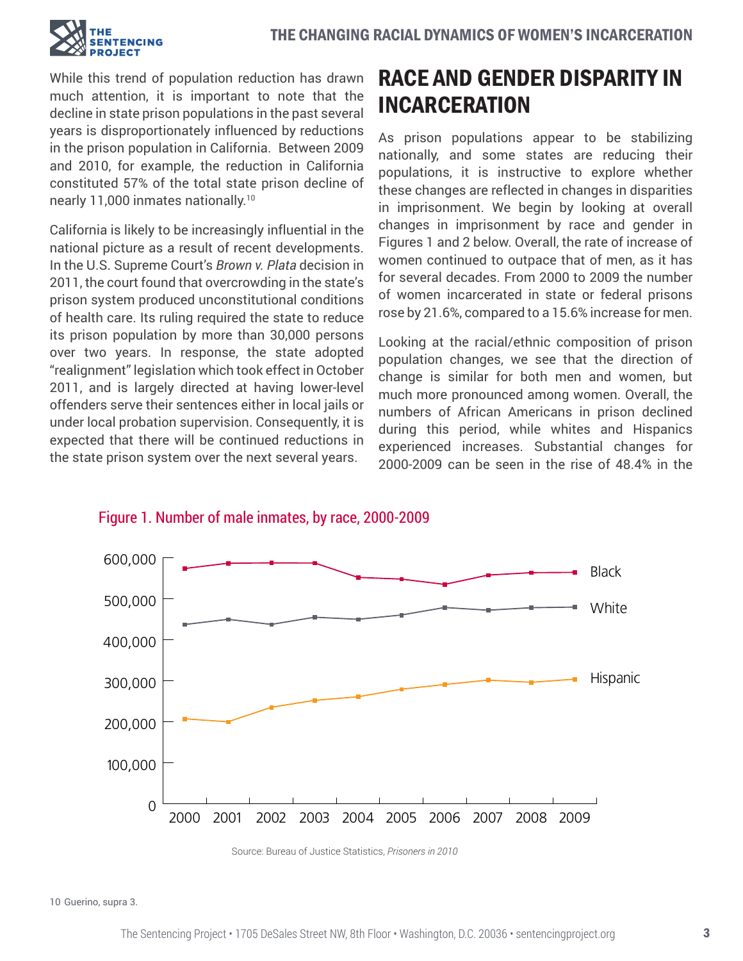

While this trend of population reduction has drawn much attention, it is important to note that the decline in state prison populations in the past several years is disproportionately influenced by reductions in the prison population in California. Between 2009 and 2010, for example, the reduction in California constituted 57% of the total state prison decline of nearly 11,000 inmates nationally.10

California is likely to be increasingly influential in the national picture as a result of recent developments. In the U.S. Supreme Court's *Brown v. Plata* decision in 2011, the court found that overcrowding in the state's prison system produced unconstitutional conditions of health care. Its ruling required the state to reduce its prison population by more than 30,000 persons over two years. In response, the state adopted "realignment" legislation which took effect in October 2011, and is largely directed at having lower-level offenders serve their sentences either in local jails or under local probation supervision. Consequently, it is expected that there will be continued reductions in the state prison system over the next several years.

# RACE AND GENDER DISPARITY IN INCARCERATION

As prison populations appear to be stabilizing nationally, and some states are reducing their populations, it is instructive to explore whether these changes are reflected in changes in disparities in imprisonment. We begin by looking at overall changes in imprisonment by race and gender in Figures 1 and 2 below. Overall, the rate of increase of women continued to outpace that of men, as it has for several decades. From 2000 to 2009 the number of women incarcerated in state or federal prisons rose by 21.6%, compared to a 15.6% increase for men.

Looking at the racial/ethnic composition of prison population changes, we see that the direction of change is similar for both men and women, but much more pronounced among women. Overall, the numbers of African Americans in prison declined during this period, while whites and Hispanics experienced increases. Substantial changes for 2000-2009 can be seen in the rise of 48.4% in the



Figure 1. Number of male inmates, by race, 2000-2009

10 Guerino, supra 3.

Source: Bureau of Justice Statistics, *Prisoners in 2010*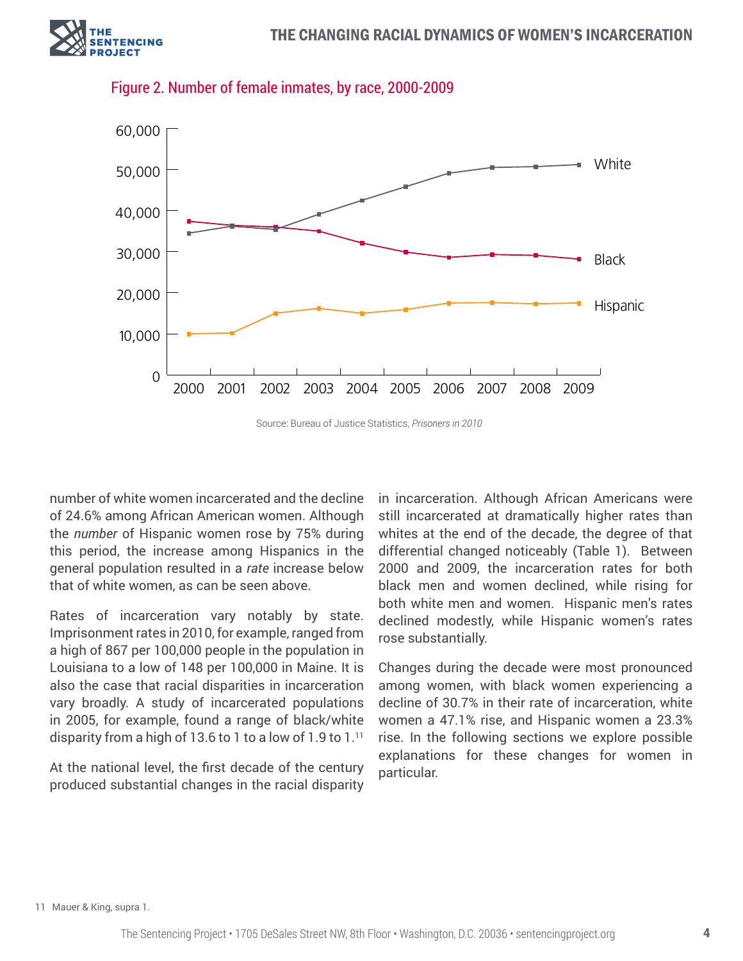



Figure 2. Number of female inmates, by race, 2000-2009

Source: Bureau of Justice Statistics, *Prisoners in 2010*

number of white women incarcerated and the decline of 24.6% among African American women. Although the *number* of Hispanic women rose by 75% during this period, the increase among Hispanics in the general population resulted in a *rate* increase below that of white women, as can be seen above.

Rates of incarceration vary notably by state. Imprisonment rates in 2010, for example, ranged from a high of 867 per 100,000 people in the population in Louisiana to a low of 148 per 100,000 in Maine. It is also the case that racial disparities in incarceration vary broadly. A study of incarcerated populations in 2005, for example, found a range of black/white disparity from a high of 13.6 to 1 to a low of 1.9 to 1.11

At the national level, the first decade of the century produced substantial changes in the racial disparity in incarceration. Although African Americans were still incarcerated at dramatically higher rates than whites at the end of the decade, the degree of that differential changed noticeably (Table 1). Between 2000 and 2009, the incarceration rates for both black men and women declined, while rising for both white men and women. Hispanic men's rates declined modestly, while Hispanic women's rates rose substantially.

Changes during the decade were most pronounced among women, with black women experiencing a decline of 30.7% in their rate of incarceration, white women a 47.1% rise, and Hispanic women a 23.3% rise. In the following sections we explore possible explanations for these changes for women in particular.

11 Mauer & King, supra 1.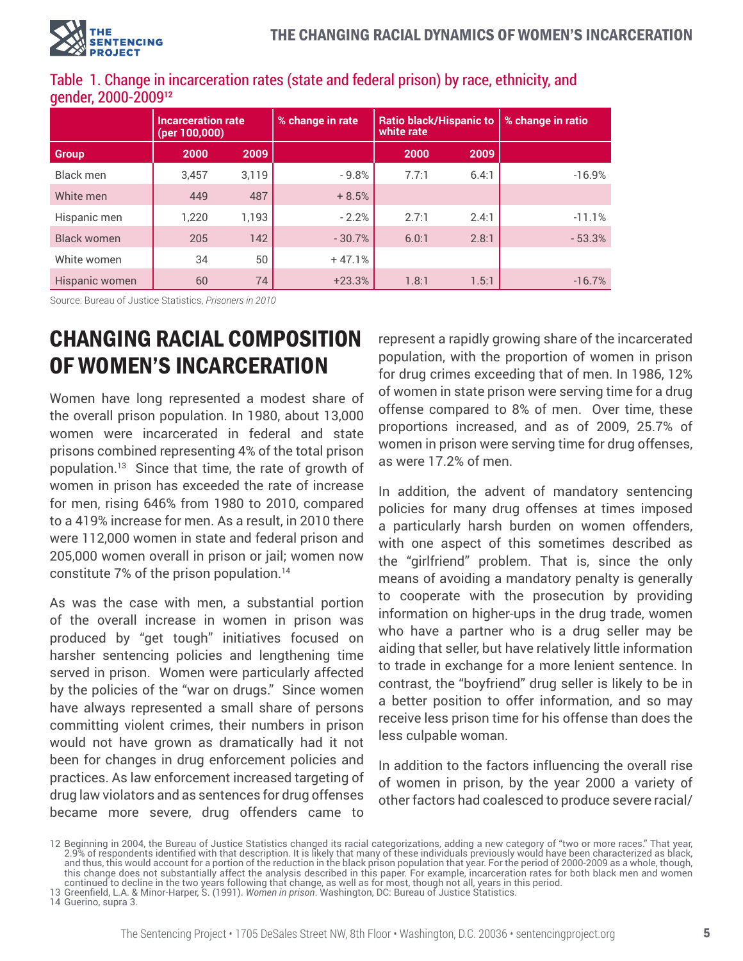|                    | <b>Incarceration rate</b><br>(per 100,000) |       | % change in rate | <b>Ratio black/Hispanic to</b><br>white rate |       | % change in ratio |  |  |  |
|--------------------|--------------------------------------------|-------|------------------|----------------------------------------------|-------|-------------------|--|--|--|
| <b>Group</b>       | 2000                                       | 2009  |                  | 2000                                         | 2009  |                   |  |  |  |
| <b>Black men</b>   | 3,457                                      | 3,119 | $-9.8%$          | 7.7:1                                        | 6.4:1 | $-16.9%$          |  |  |  |
| White men          | 449                                        | 487   | $+8.5%$          |                                              |       |                   |  |  |  |
| Hispanic men       | 1,220                                      | 1,193 | $-2.2%$          | 2.7:1                                        | 2.4:1 | $-11.1%$          |  |  |  |
| <b>Black women</b> | 205                                        | 142   | $-30.7%$         | 6.0:1                                        | 2.8:1 | $-53.3%$          |  |  |  |
| White women        | 34                                         | 50    | $+47.1%$         |                                              |       |                   |  |  |  |
| Hispanic women     | 60                                         | 74    | $+23.3%$         | 1.8:1                                        | 1.5:1 | $-16.7%$          |  |  |  |

## Table 1. Change in incarceration rates (state and federal prison) by race, ethnicity, and gender, 2000-2009**<sup>12</sup>**

Source: Bureau of Justice Statistics, *Prisoners in 2010*

# CHANGING RACIAL COMPOSITION OF WOMEN'S INCARCERATION

Women have long represented a modest share of the overall prison population. In 1980, about 13,000 women were incarcerated in federal and state prisons combined representing 4% of the total prison population.13 Since that time, the rate of growth of women in prison has exceeded the rate of increase for men, rising 646% from 1980 to 2010, compared to a 419% increase for men. As a result, in 2010 there were 112,000 women in state and federal prison and 205,000 women overall in prison or jail; women now constitute 7% of the prison population.14

As was the case with men, a substantial portion of the overall increase in women in prison was produced by "get tough" initiatives focused on harsher sentencing policies and lengthening time served in prison. Women were particularly affected by the policies of the "war on drugs." Since women have always represented a small share of persons committing violent crimes, their numbers in prison would not have grown as dramatically had it not been for changes in drug enforcement policies and practices. As law enforcement increased targeting of drug law violators and as sentences for drug offenses became more severe, drug offenders came to

represent a rapidly growing share of the incarcerated population, with the proportion of women in prison for drug crimes exceeding that of men. In 1986, 12% of women in state prison were serving time for a drug offense compared to 8% of men. Over time, these proportions increased, and as of 2009, 25.7% of women in prison were serving time for drug offenses, as were 17.2% of men.

In addition, the advent of mandatory sentencing policies for many drug offenses at times imposed a particularly harsh burden on women offenders, with one aspect of this sometimes described as the "girlfriend" problem. That is, since the only means of avoiding a mandatory penalty is generally to cooperate with the prosecution by providing information on higher-ups in the drug trade, women who have a partner who is a drug seller may be aiding that seller, but have relatively little information to trade in exchange for a more lenient sentence. In contrast, the "boyfriend" drug seller is likely to be in a better position to offer information, and so may receive less prison time for his offense than does the less culpable woman.

In addition to the factors influencing the overall rise of women in prison, by the year 2000 a variety of other factors had coalesced to produce severe racial/

13 Greenfield, L.A. & Minor-Harper, S. (1991). *Women in prison*. Washington, DC: Bureau of Justice Statistics.

14 Guerino, supra 3.

<sup>12</sup> Beginning in 2004, the Bureau of Justice Statistics changed its racial categorizations, adding a new category of "two or more races." That year, 2.9% of respondents identified with that description. It is likely that many of these individuals previously would have been characterized as black, and thus, this would account for a portion of the reduction in the black prison population that year. For the period of 2000-2009 as a whole, though, this change does not substantially affect the analysis described in this paper. For example, incarceration rates for both black men and women continued to decline in the two years following that change, as well as for most, though not all, years in this period.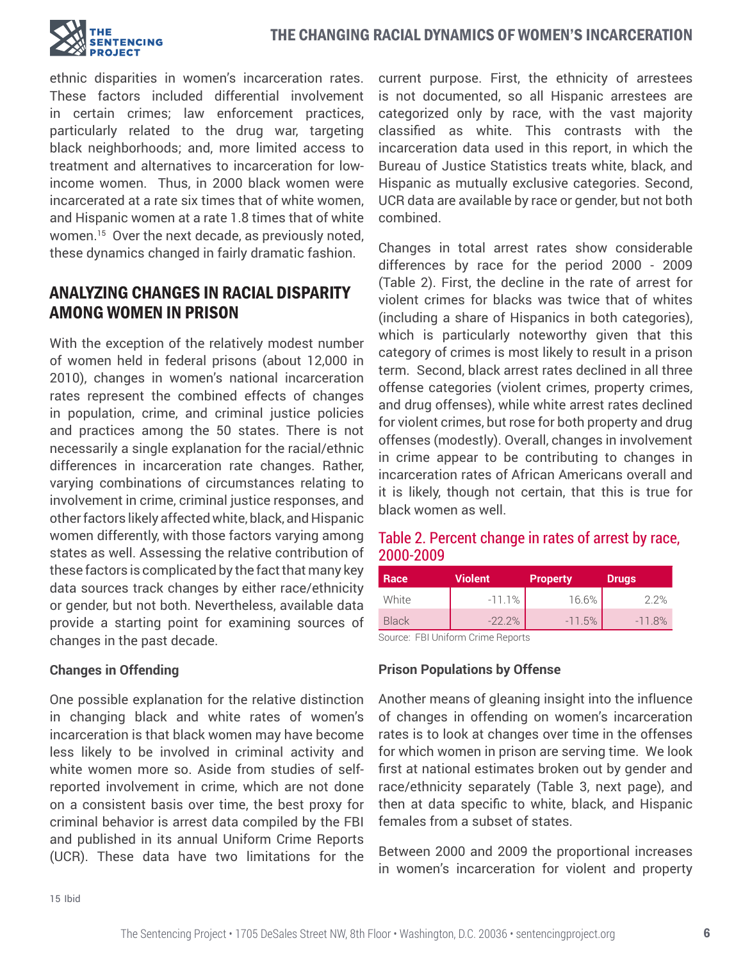

ethnic disparities in women's incarceration rates. These factors included differential involvement in certain crimes; law enforcement practices, particularly related to the drug war, targeting black neighborhoods; and, more limited access to treatment and alternatives to incarceration for lowincome women. Thus, in 2000 black women were incarcerated at a rate six times that of white women, and Hispanic women at a rate 1.8 times that of white women.15 Over the next decade, as previously noted, these dynamics changed in fairly dramatic fashion.

## ANALYZING CHANGES IN RACIAL DISPARITY AMONG WOMEN IN PRISON

With the exception of the relatively modest number of women held in federal prisons (about 12,000 in 2010), changes in women's national incarceration rates represent the combined effects of changes in population, crime, and criminal justice policies and practices among the 50 states. There is not necessarily a single explanation for the racial/ethnic differences in incarceration rate changes. Rather, varying combinations of circumstances relating to involvement in crime, criminal justice responses, and other factors likely affected white, black, and Hispanic women differently, with those factors varying among states as well. Assessing the relative contribution of these factors is complicated by the fact that many key data sources track changes by either race/ethnicity or gender, but not both. Nevertheless, available data provide a starting point for examining sources of changes in the past decade.

#### **Changes in Offending**

One possible explanation for the relative distinction in changing black and white rates of women's incarceration is that black women may have become less likely to be involved in criminal activity and white women more so. Aside from studies of selfreported involvement in crime, which are not done on a consistent basis over time, the best proxy for criminal behavior is arrest data compiled by the FBI and published in its annual Uniform Crime Reports (UCR). These data have two limitations for the current purpose. First, the ethnicity of arrestees is not documented, so all Hispanic arrestees are categorized only by race, with the vast majority classified as white. This contrasts with the incarceration data used in this report, in which the Bureau of Justice Statistics treats white, black, and Hispanic as mutually exclusive categories. Second, UCR data are available by race or gender, but not both combined.

Changes in total arrest rates show considerable differences by race for the period 2000 - 2009 (Table 2). First, the decline in the rate of arrest for violent crimes for blacks was twice that of whites (including a share of Hispanics in both categories), which is particularly noteworthy given that this category of crimes is most likely to result in a prison term. Second, black arrest rates declined in all three offense categories (violent crimes, property crimes, and drug offenses), while white arrest rates declined for violent crimes, but rose for both property and drug offenses (modestly). Overall, changes in involvement in crime appear to be contributing to changes in incarceration rates of African Americans overall and it is likely, though not certain, that this is true for black women as well.

#### Table 2. Percent change in rates of arrest by race, 2000-2009

| Race                              | <b>Violent</b> | <b>Property</b> | <b>Drugs</b> |  |  |  |  |  |
|-----------------------------------|----------------|-----------------|--------------|--|--|--|--|--|
| White                             | $-11.1%$       | 16.6%           | 22%          |  |  |  |  |  |
| <b>Black</b>                      | $-22.2%$       | $-11.5%$        | $-11.8%$     |  |  |  |  |  |
| Courage EDU Inifarm Orims Departs |                |                 |              |  |  |  |  |  |

Source: FBI Uniform Crime Reports

#### **Prison Populations by Offense**

Another means of gleaning insight into the influence of changes in offending on women's incarceration rates is to look at changes over time in the offenses for which women in prison are serving time. We look first at national estimates broken out by gender and race/ethnicity separately (Table 3, next page), and then at data specific to white, black, and Hispanic females from a subset of states.

Between 2000 and 2009 the proportional increases in women's incarceration for violent and property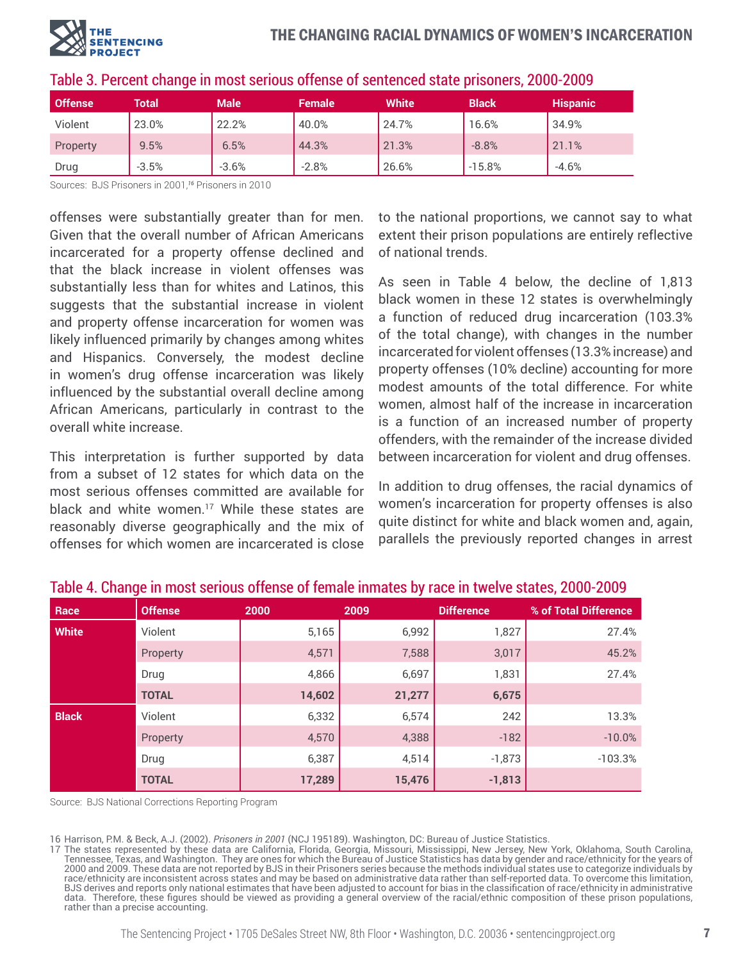

| <b>Offense</b> | Total   | <b>Male</b> | <b>Female</b> | <b>White</b> | <b>Black</b> | <b>Hispanic</b> |
|----------------|---------|-------------|---------------|--------------|--------------|-----------------|
| Violent        | 23.0%   | 22.2%       | 40.0%         | 24.7%        | 16.6%        | 34.9%           |
| Property       | 9.5%    | 6.5%        | 44.3%         | 21.3%        | $-8.8%$      | 21.1%           |
| Drug           | $-3.5%$ | $-3.6%$     | $-2.8%$       | 26.6%        | $-15.8%$     | $-4.6%$         |

## Table 3. Percent change in most serious offense of sentenced state prisoners, 2000-2009

Sources: BJS Prisoners in 2001,*<sup>16</sup>* Prisoners in 2010

offenses were substantially greater than for men. Given that the overall number of African Americans incarcerated for a property offense declined and that the black increase in violent offenses was substantially less than for whites and Latinos, this suggests that the substantial increase in violent and property offense incarceration for women was likely influenced primarily by changes among whites and Hispanics. Conversely, the modest decline in women's drug offense incarceration was likely influenced by the substantial overall decline among African Americans, particularly in contrast to the overall white increase.

This interpretation is further supported by data from a subset of 12 states for which data on the most serious offenses committed are available for black and white women.<sup>17</sup> While these states are reasonably diverse geographically and the mix of offenses for which women are incarcerated is close

to the national proportions, we cannot say to what extent their prison populations are entirely reflective of national trends.

As seen in Table 4 below, the decline of 1,813 black women in these 12 states is overwhelmingly a function of reduced drug incarceration (103.3% of the total change), with changes in the number incarcerated for violent offenses (13.3% increase) and property offenses (10% decline) accounting for more modest amounts of the total difference. For white women, almost half of the increase in incarceration is a function of an increased number of property offenders, with the remainder of the increase divided between incarceration for violent and drug offenses.

In addition to drug offenses, the racial dynamics of women's incarceration for property offenses is also quite distinct for white and black women and, again, parallels the previously reported changes in arrest

| Race         | <b>Offense</b> | 2000   | 2009   | <b>Difference</b> | % of Total Difference |
|--------------|----------------|--------|--------|-------------------|-----------------------|
| <b>White</b> | Violent        | 5,165  | 6,992  | 1,827             | 27.4%                 |
|              | Property       | 4,571  | 7,588  | 3,017             | 45.2%                 |
|              | Drug           | 4,866  | 6,697  | 1,831             | 27.4%                 |
|              | <b>TOTAL</b>   | 14,602 | 21,277 | 6,675             |                       |
| <b>Black</b> | Violent        | 6,332  | 6,574  | 242               | 13.3%                 |
|              | Property       | 4,570  | 4,388  | $-182$            | $-10.0%$              |
|              | Drug           | 6,387  | 4,514  | $-1,873$          | $-103.3%$             |
|              | <b>TOTAL</b>   | 17,289 | 15,476 | $-1,813$          |                       |

## Table 4. Change in most serious offense of female inmates by race in twelve states, 2000-2009

Source: BJS National Corrections Reporting Program

16 Harrison, P.M. & Beck, A.J. (2002). *Prisoners in 2001* (NCJ 195189). Washington, DC: Bureau of Justice Statistics.

17 The states represented by these data are California, Florida, Georgia, Missouri, Mississippi, New Jersey, New York, Oklahoma, South Carolina, Tennessee, Texas, and Washington. They are ones for which the Bureau of Justice Statistics has data by gender and race/ethnicity for the years of 2000 and 2009. These data are not reported by BJS in their Prisoners series because the methods individual states use to categorize individuals by race/ethnicity are inconsistent across states and may be based on administrative data rather than self-reported data. To overcome this limitation, BJS derives and reports only national estimates that have been adjusted to account for bias in the classification of race/ethnicity in administrative data. Therefore, these figures should be viewed as providing a general overview of the racial/ethnic composition of these prison populations, rather than a precise accounting.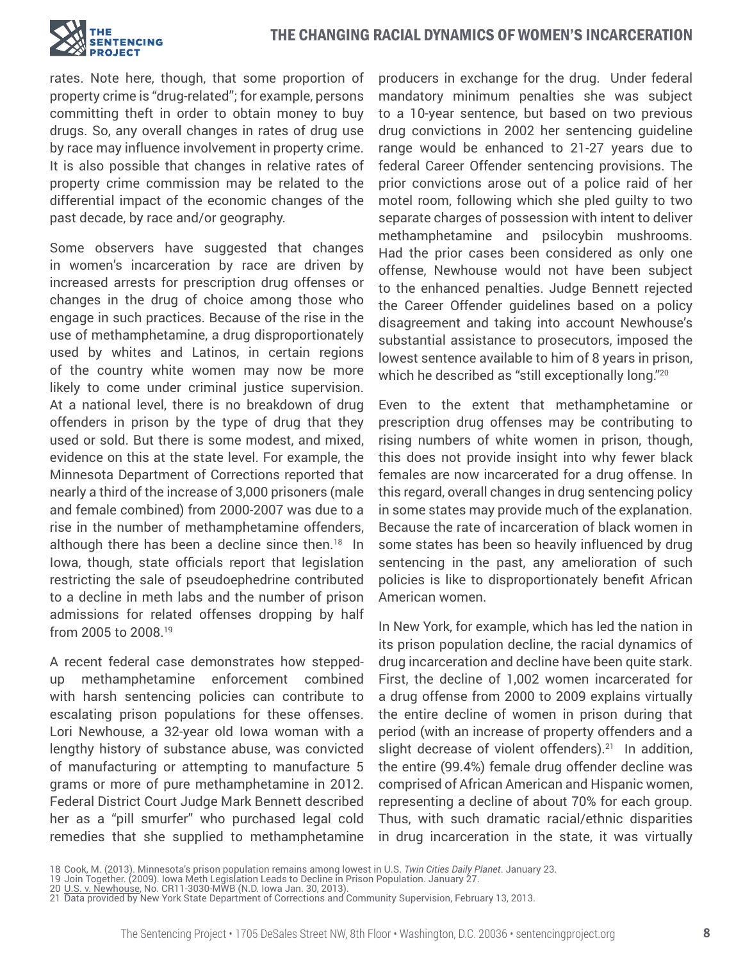#### THE CHANGING RACIAL DYNAMICS OF WOMEN'S INCARCERATION



rates. Note here, though, that some proportion of property crime is "drug-related"; for example, persons committing theft in order to obtain money to buy drugs. So, any overall changes in rates of drug use by race may influence involvement in property crime. It is also possible that changes in relative rates of property crime commission may be related to the differential impact of the economic changes of the past decade, by race and/or geography.

Some observers have suggested that changes in women's incarceration by race are driven by increased arrests for prescription drug offenses or changes in the drug of choice among those who engage in such practices. Because of the rise in the use of methamphetamine, a drug disproportionately used by whites and Latinos, in certain regions of the country white women may now be more likely to come under criminal justice supervision. At a national level, there is no breakdown of drug offenders in prison by the type of drug that they used or sold. But there is some modest, and mixed, evidence on this at the state level. For example, the Minnesota Department of Corrections reported that nearly a third of the increase of 3,000 prisoners (male and female combined) from 2000-2007 was due to a rise in the number of methamphetamine offenders, although there has been a decline since then.<sup>18</sup> In Iowa, though, state officials report that legislation restricting the sale of pseudoephedrine contributed to a decline in meth labs and the number of prison admissions for related offenses dropping by half from 2005 to 2008.19

A recent federal case demonstrates how steppedup methamphetamine enforcement combined with harsh sentencing policies can contribute to escalating prison populations for these offenses. Lori Newhouse, a 32-year old Iowa woman with a lengthy history of substance abuse, was convicted of manufacturing or attempting to manufacture 5 grams or more of pure methamphetamine in 2012. Federal District Court Judge Mark Bennett described her as a "pill smurfer" who purchased legal cold remedies that she supplied to methamphetamine producers in exchange for the drug. Under federal mandatory minimum penalties she was subject to a 10-year sentence, but based on two previous drug convictions in 2002 her sentencing guideline range would be enhanced to 21-27 years due to federal Career Offender sentencing provisions. The prior convictions arose out of a police raid of her motel room, following which she pled guilty to two separate charges of possession with intent to deliver methamphetamine and psilocybin mushrooms. Had the prior cases been considered as only one offense, Newhouse would not have been subject to the enhanced penalties. Judge Bennett rejected the Career Offender guidelines based on a policy disagreement and taking into account Newhouse's substantial assistance to prosecutors, imposed the lowest sentence available to him of 8 years in prison, which he described as "still exceptionally long."<sup>20</sup>

Even to the extent that methamphetamine or prescription drug offenses may be contributing to rising numbers of white women in prison, though, this does not provide insight into why fewer black females are now incarcerated for a drug offense. In this regard, overall changes in drug sentencing policy in some states may provide much of the explanation. Because the rate of incarceration of black women in some states has been so heavily influenced by drug sentencing in the past, any amelioration of such policies is like to disproportionately benefit African American women.

In New York, for example, which has led the nation in its prison population decline, the racial dynamics of drug incarceration and decline have been quite stark. First, the decline of 1,002 women incarcerated for a drug offense from 2000 to 2009 explains virtually the entire decline of women in prison during that period (with an increase of property offenders and a slight decrease of violent offenders).<sup>21</sup> In addition, the entire (99.4%) female drug offender decline was comprised of African American and Hispanic women, representing a decline of about 70% for each group. Thus, with such dramatic racial/ethnic disparities in drug incarceration in the state, it was virtually

<sup>18</sup> Cook, M. (2013). Minnesota's prison population remains among lowest in U.S. *Twin Cities Daily Planet*. January 23. 19 Join Together. (2009). Iowa Meth Legislation Leads to Decline in Prison Population. January 27.

<sup>20 &</sup>lt;u>U.S. v. Newhouse</u>, No. CR11-3030-MWB (N.D. Iowa Jan. 30, 2013).

<sup>21</sup> Data provided by New York State Department of Corrections and Community Supervision, February 13, 2013.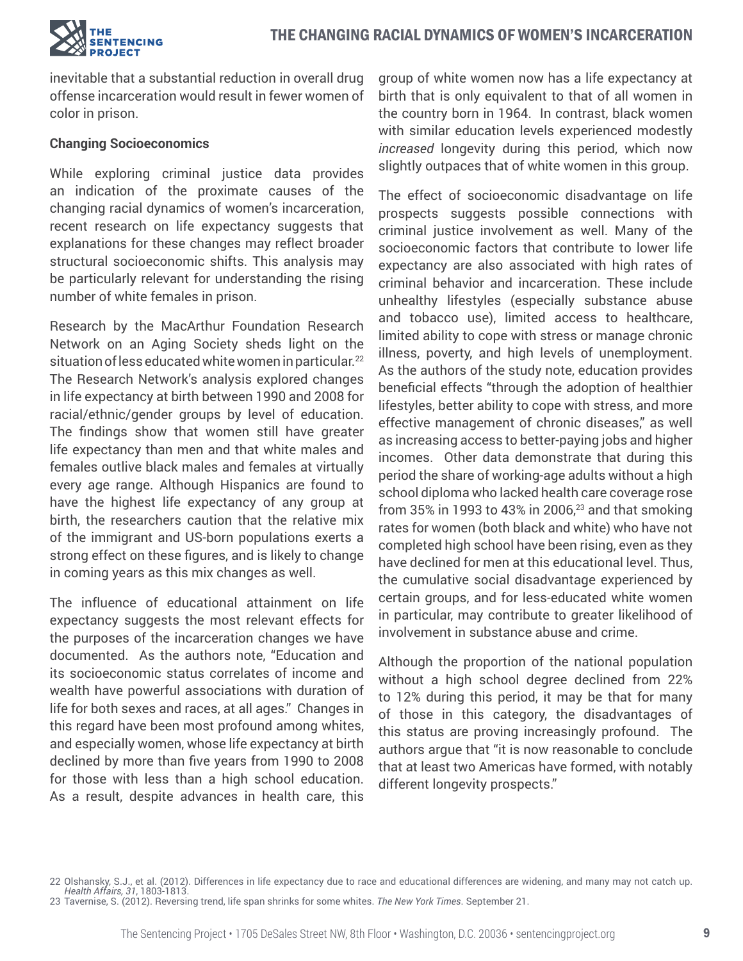

inevitable that a substantial reduction in overall drug offense incarceration would result in fewer women of color in prison.

#### **Changing Socioeconomics**

While exploring criminal justice data provides an indication of the proximate causes of the changing racial dynamics of women's incarceration, recent research on life expectancy suggests that explanations for these changes may reflect broader structural socioeconomic shifts. This analysis may be particularly relevant for understanding the rising number of white females in prison.

Research by the MacArthur Foundation Research Network on an Aging Society sheds light on the situation of less educated white women in particular.<sup>22</sup> The Research Network's analysis explored changes in life expectancy at birth between 1990 and 2008 for racial/ethnic/gender groups by level of education. The findings show that women still have greater life expectancy than men and that white males and females outlive black males and females at virtually every age range. Although Hispanics are found to have the highest life expectancy of any group at birth, the researchers caution that the relative mix of the immigrant and US-born populations exerts a strong effect on these figures, and is likely to change in coming years as this mix changes as well.

The influence of educational attainment on life expectancy suggests the most relevant effects for the purposes of the incarceration changes we have documented. As the authors note, "Education and its socioeconomic status correlates of income and wealth have powerful associations with duration of life for both sexes and races, at all ages." Changes in this regard have been most profound among whites, and especially women, whose life expectancy at birth declined by more than five years from 1990 to 2008 for those with less than a high school education. As a result, despite advances in health care, this

group of white women now has a life expectancy at birth that is only equivalent to that of all women in the country born in 1964. In contrast, black women with similar education levels experienced modestly *increased* longevity during this period, which now slightly outpaces that of white women in this group.

The effect of socioeconomic disadvantage on life prospects suggests possible connections with criminal justice involvement as well. Many of the socioeconomic factors that contribute to lower life expectancy are also associated with high rates of criminal behavior and incarceration. These include unhealthy lifestyles (especially substance abuse and tobacco use), limited access to healthcare, limited ability to cope with stress or manage chronic illness, poverty, and high levels of unemployment. As the authors of the study note, education provides beneficial effects "through the adoption of healthier lifestyles, better ability to cope with stress, and more effective management of chronic diseases," as well as increasing access to better-paying jobs and higher incomes. Other data demonstrate that during this period the share of working-age adults without a high school diploma who lacked health care coverage rose from 35% in 1993 to 43% in 2006, $23$  and that smoking rates for women (both black and white) who have not completed high school have been rising, even as they have declined for men at this educational level. Thus, the cumulative social disadvantage experienced by certain groups, and for less-educated white women in particular, may contribute to greater likelihood of involvement in substance abuse and crime.

Although the proportion of the national population without a high school degree declined from 22% to 12% during this period, it may be that for many of those in this category, the disadvantages of this status are proving increasingly profound. The authors argue that "it is now reasonable to conclude that at least two Americas have formed, with notably different longevity prospects."

<sup>22</sup> Olshansky, S.J., et al. (2012). Differences in life expectancy due to race and educational differences are widening, and many may not catch up. *Health Affairs, 31*, 1803-1813.

<sup>23</sup> Tavernise, S. (2012). Reversing trend, life span shrinks for some whites. *The New York Times*. September 21.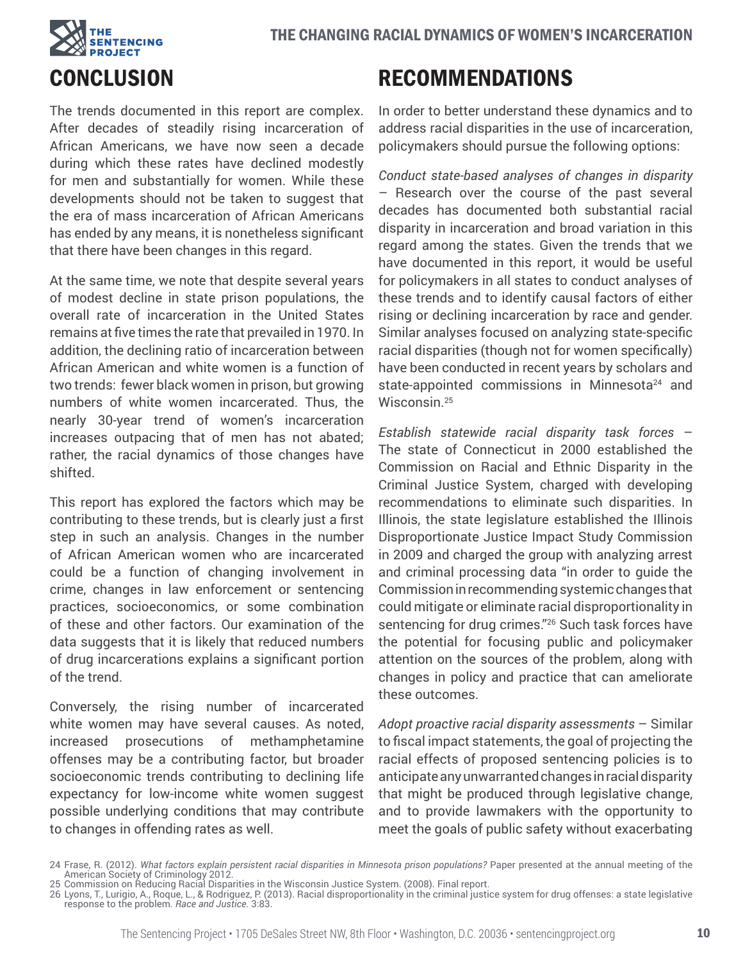

# **CONCLUSION**

The trends documented in this report are complex. After decades of steadily rising incarceration of African Americans, we have now seen a decade during which these rates have declined modestly for men and substantially for women. While these developments should not be taken to suggest that the era of mass incarceration of African Americans has ended by any means, it is nonetheless significant that there have been changes in this regard.

At the same time, we note that despite several years of modest decline in state prison populations, the overall rate of incarceration in the United States remains at five times the rate that prevailed in 1970. In addition, the declining ratio of incarceration between African American and white women is a function of two trends: fewer black women in prison, but growing numbers of white women incarcerated. Thus, the nearly 30-year trend of women's incarceration increases outpacing that of men has not abated; rather, the racial dynamics of those changes have shifted.

This report has explored the factors which may be contributing to these trends, but is clearly just a first step in such an analysis. Changes in the number of African American women who are incarcerated could be a function of changing involvement in crime, changes in law enforcement or sentencing practices, socioeconomics, or some combination of these and other factors. Our examination of the data suggests that it is likely that reduced numbers of drug incarcerations explains a significant portion of the trend.

Conversely, the rising number of incarcerated white women may have several causes. As noted, increased prosecutions of methamphetamine offenses may be a contributing factor, but broader socioeconomic trends contributing to declining life expectancy for low-income white women suggest possible underlying conditions that may contribute to changes in offending rates as well.

# RECOMMENDATIONS

In order to better understand these dynamics and to address racial disparities in the use of incarceration, policymakers should pursue the following options:

*Conduct state-based analyses of changes in disparity* – Research over the course of the past several decades has documented both substantial racial disparity in incarceration and broad variation in this regard among the states. Given the trends that we have documented in this report, it would be useful for policymakers in all states to conduct analyses of these trends and to identify causal factors of either rising or declining incarceration by race and gender. Similar analyses focused on analyzing state-specific racial disparities (though not for women specifically) have been conducted in recent years by scholars and state-appointed commissions in Minnesota<sup>24</sup> and Wisconsin.25

*Establish statewide racial disparity task forces* – The state of Connecticut in 2000 established the Commission on Racial and Ethnic Disparity in the Criminal Justice System, charged with developing recommendations to eliminate such disparities. In Illinois, the state legislature established the Illinois Disproportionate Justice Impact Study Commission in 2009 and charged the group with analyzing arrest and criminal processing data "in order to guide the Commission in recommending systemic changes that could mitigate or eliminate racial disproportionality in sentencing for drug crimes."<sup>26</sup> Such task forces have the potential for focusing public and policymaker attention on the sources of the problem, along with changes in policy and practice that can ameliorate these outcomes.

*Adopt proactive racial disparity assessments* – Similar to fiscal impact statements, the goal of projecting the racial effects of proposed sentencing policies is to anticipate any unwarranted changes in racial disparity that might be produced through legislative change, and to provide lawmakers with the opportunity to meet the goals of public safety without exacerbating

<sup>24</sup> Frase, R. (2012). *What factors explain persistent racial disparities in Minnesota prison populations?* Paper presented at the annual meeting of the American Society of Criminology 2012.

<sup>25</sup> Commission on Reducing Racial Disparities in the Wisconsin Justice System. (2008). Final report.<br>26 Lyons, T., Lurigio, A., Roque, L., & Rodriguez, P. (2013). Racial disproportionality in the criminal justice system for response to the problem*. Race and Justice.* 3:83.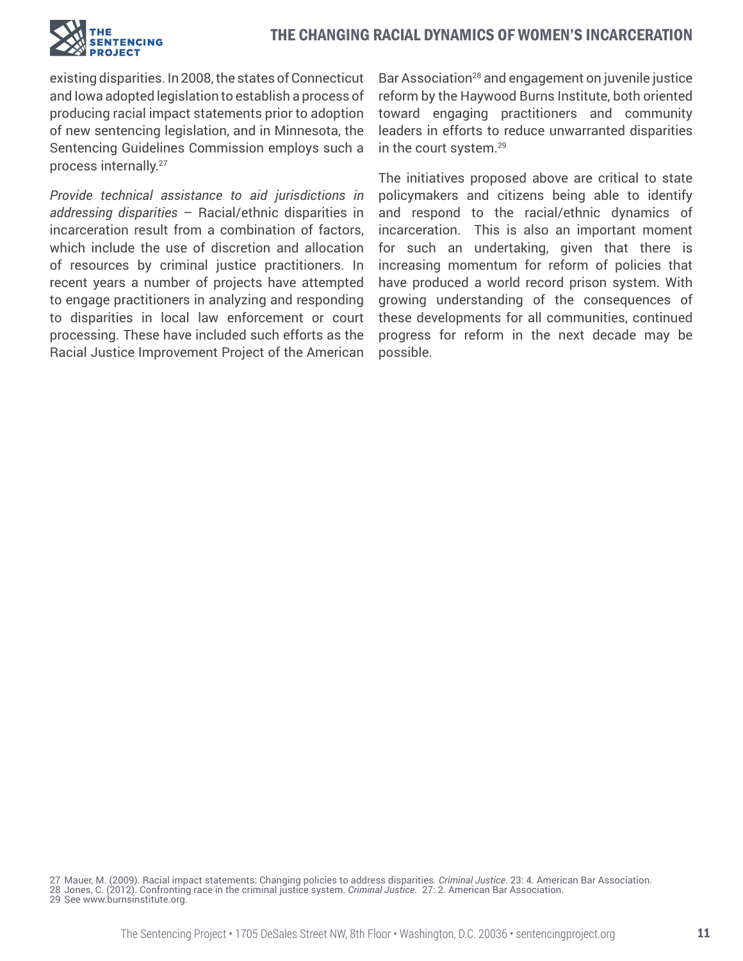

existing disparities. In 2008, the states of Connecticut and Iowa adopted legislation to establish a process of producing racial impact statements prior to adoption of new sentencing legislation, and in Minnesota, the Sentencing Guidelines Commission employs such a process internally.27

*Provide technical assistance to aid jurisdictions in addressing disparities* – Racial/ethnic disparities in incarceration result from a combination of factors, which include the use of discretion and allocation of resources by criminal justice practitioners. In recent years a number of projects have attempted to engage practitioners in analyzing and responding to disparities in local law enforcement or court processing. These have included such efforts as the Racial Justice Improvement Project of the American Bar Association<sup>28</sup> and engagement on juvenile justice reform by the Haywood Burns Institute, both oriented toward engaging practitioners and community leaders in efforts to reduce unwarranted disparities in the court system.29

The initiatives proposed above are critical to state policymakers and citizens being able to identify and respond to the racial/ethnic dynamics of incarceration. This is also an important moment for such an undertaking, given that there is increasing momentum for reform of policies that have produced a world record prison system. With growing understanding of the consequences of these developments for all communities, continued progress for reform in the next decade may be possible.

29 See www.burnsinstitute.org.

<sup>27</sup> Mauer, M. (2009). Racial impact statements: Changing policies to address disparities*. Criminal Justice*. 23: 4. American Bar Association. 28 Jones, C. (2012). Confronting race in the criminal justice system. *Criminal Justice*. 27: 2. American Bar Association.